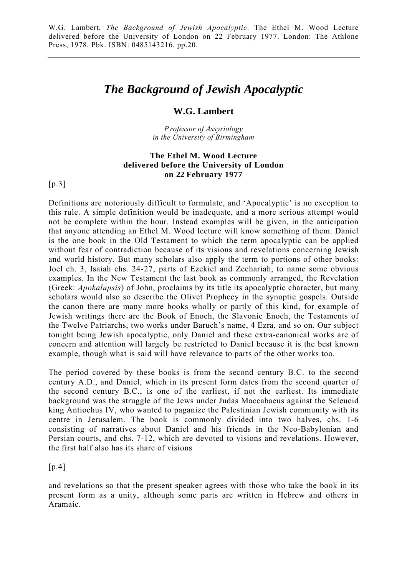## *The Background of Jewish Apocalyptic*

## **W.G. Lambert**

*P rofessor of Assyriology in the University of Birmingham*

## **The Ethel M. Wood Lecture delivered before the University of London on 22 February 1977**

[p.3]

Definitions are notoriously difficult to formulate, and 'Apocalyptic' is no exception to this rule. A simple definition would be inadequate, and a more serious attempt would not be complete within the hour. Instead examples will be given, in the anticipation that anyone attending an Ethel M. Wood lecture will know something of them. Daniel is the one book in the Old Testament to which the term apocalyptic can be applied without fear of contradiction because of its visions and revelations concerning Jewish and world history. But many scholars also apply the term to portions of other books: Joel ch. 3, Isaiah chs. 24-27, parts of Ezekiel and Zechariah, to name some obvious examples. In the New Testament the last book as commonly arranged, the Revelation (Greek: *Apokalupsis*) of John, proclaims by its title its apocalyptic character, but many scholars would also so describe the Olivet Prophecy in the synoptic gospels. Outside the canon there are many more books wholly or partly of this kind, for example of Jewish writings there are the Book of Enoch, the Slavonic Enoch, the Testaments of the Twelve Patriarchs, two works under Baruch's name, 4 Ezra, and so on. Our subject tonight being Jewish apocalyptic, only Daniel and these extra-canonical works are of concern and attention will largely be restricted to Daniel because it is the best known example, though what is said will have relevance to parts of the other works too.

The period covered by these books is from the second century B.C. to the second century A.D., and Daniel, which in its present form dates from the second quarter of the second century B.C., is one of the earliest, if not the earliest. Its immediate background was the struggle of the Jews under Judas Maccabaeus against the Seleucid king Antiochus IV, who wanted to paganize the Palestinian Jewish community with its centre in Jerusalem. The book is commonly divided into two halves, chs. 1-6 consisting of narratives about Daniel and his friends in the Neo-Babylonian and Persian courts, and chs. 7-12, which are devoted to visions and revelations. However, the first half also has its share of visions

 $[p.4]$ 

and revelations so that the present speaker agrees with those who take the book in its present form as a unity, although some parts are written in Hebrew and others in Aramaic.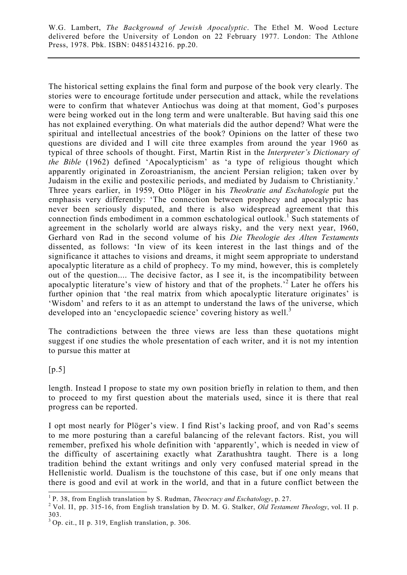The historical setting explains the final form and purpose of the book very clearly. The stories were to encourage fortitude under persecution and attack, while the revelations were to confirm that whatever Antiochus was doing at that moment, God's purposes were being worked out in the long term and were unalterable. But having said this one has not explained everything. On what materials did the author depend? What were the spiritual and intellectual ancestries of the book? Opinions on the latter of these two questions are divided and I will cite three examples from around the year 1960 as typical of three schools of thought. First, Martin Rist in the *Interpreter's Dictionary of the Bible* (1962) defined 'Apocalypticism' as 'a type of religious thought which apparently originated in Zoroastrianism, the ancient Persian religion; taken over by Judaism in the exilic and postexilic periods, and mediated by Judaism to Christianity.' Three years earlier, in 1959, Otto Plöger in his *Theokratie and Eschatologie* put the emphasis very differently: 'The connection between prophecy and apocalyptic has never been seriously disputed, and there is also widespread agreement that this connection finds embodiment in a common eschatological outlook.<sup>1</sup> Such statements of agreement in the scholarly world are always risky, and the very next year, I960, Gerhard von Rad in the second volume of his *Die Theologie des Alten Testaments* dissented, as follows: 'In view of its keen interest in the last things and of the significance it attaches to visions and dreams, it might seem appropriate to understand apocalyptic literature as a child of prophecy. To my mind, however, this is completely out of the question.... The decisive factor, as I see it, is the incompatibility between apocalyptic literature's view of history and that of the prophets.'2 Later he offers his further opinion that 'the real matrix from which apocalyptic literature originates' is 'Wisdom' and refers to it as an attempt to understand the laws of the universe, which developed into an 'encyclopaedic science' covering history as well.<sup>3</sup>

The contradictions between the three views are less than these quotations might suggest if one studies the whole presentation of each writer, and it is not my intention to pursue this matter at

 $[p.5]$ 

length. Instead I propose to state my own position briefly in relation to them, and then to proceed to my first question about the materials used, since it is there that real progress can be reported.

I opt most nearly for Plöger's view. I find Rist's lacking proof, and von Rad's seems to me more posturing than a careful balancing of the relevant factors. Rist, you will remember, prefixed his whole definition with 'apparently', which is needed in view of the difficulty of ascertaining exactly what Zarathushtra taught. There is a long tradition behind the extant writings and only very confused material spread in the Hellenistic world. Dualism is the touchstone of this case, but if one only means that there is good and evil at work in the world, and that in a future conflict between the

<sup>&</sup>lt;sup>1</sup> P. 38, from English translation by S. Rudman, *Theocracy and Eschatology*, p. 27.

Vol. II, pp. 315-16, from English translation by D. M. G. Stalker, *Old Testament Theology*, vol. II p. 303.

<sup>3</sup> Op. cit., II p. 319, English translation, p. 306.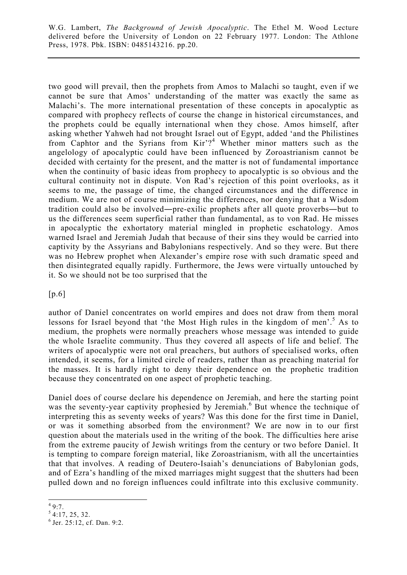two good will prevail, then the prophets from Amos to Malachi so taught, even if we cannot be sure that Amos' understanding of the matter was exactly the same as Malachi's. The more international presentation of these concepts in apocalyptic as compared with prophecy reflects of course the change in historical circumstances, and the prophets could be equally international when they chose. Amos himself, after asking whether Yahweh had not brought Israel out of Egypt, added 'and the Philistines from Caphtor and the Syrians from  $\text{Kir'}^4$  Whether minor matters such as the angelology of apocalyptic could have been influenced by Zoroastrianism cannot be decided with certainty for the present, and the matter is not of fundamental importance when the continuity of basic ideas from prophecy to apocalyptic is so obvious and the cultural continuity not in dispute. Von Rad's rejection of this point overlooks, as it seems to me, the passage of time, the changed circumstances and the difference in medium. We are not of course minimizing the differences, nor denying that a Wisdom tradition could also be involved―pre-exilic prophets after all quote proverbs―but to us the differences seem superficial rather than fundamental, as to von Rad. He misses in apocalyptic the exhortatory material mingled in prophetic eschatology. Amos warned Israel and Jeremiah Judah that because of their sins they would be carried into captivity by the Assyrians and Babylonians respectively. And so they were. But there was no Hebrew prophet when Alexander's empire rose with such dramatic speed and then disintegrated equally rapidly. Furthermore, the Jews were virtually untouched by it. So we should not be too surprised that the

[p.6]

author of Daniel concentrates on world empires and does not draw from them moral lessons for Israel beyond that 'the Most High rules in the kingdom of men'.<sup>5</sup> As to medium, the prophets were normally preachers whose message was intended to guide the whole Israelite community. Thus they covered all aspects of life and belief. The writers of apocalyptic were not oral preachers, but authors of specialised works, often intended, it seems, for a limited circle of readers, rather than as preaching material for the masses. It is hardly right to deny their dependence on the prophetic tradition because they concentrated on one aspect of prophetic teaching.

Daniel does of course declare his dependence on Jeremiah, and here the starting point was the seventy-year captivity prophesied by Jeremiah.<sup>6</sup> But whence the technique of interpreting this as seventy weeks of years? Was this done for the first time in Daniel, or was it something absorbed from the environment? We are now in to our first question about the materials used in the writing of the book. The difficulties here arise from the extreme paucity of Jewish writings from the century or two before Daniel. It is tempting to compare foreign material, like Zoroastrianism, with all the uncertainties that that involves. A reading of Deutero-Isaiah's denunciations of Babylonian gods, and of Ezra's handling of the mixed marriages might suggest that the shutters had been pulled down and no foreign influences could infiltrate into this exclusive community.

 $\frac{4}{9:7}$ .

 $54:17, 25, 32.$ 

<sup>6</sup> Jer. 25:12, cf. Dan. 9:2.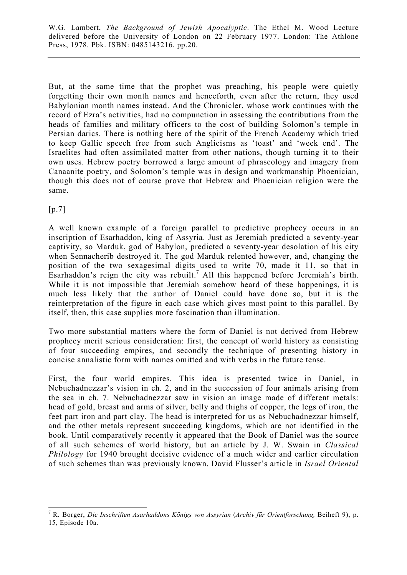But, at the same time that the prophet was preaching, his people were quietly forgetting their own month names and henceforth, even after the return, they used Babylonian month names instead. And the Chronicler, whose work continues with the record of Ezra's activities, had no compunction in assessing the contributions from the heads of families and military officers to the cost of building Solomon's temple in Persian darics. There is nothing here of the spirit of the French Academy which tried to keep Gallic speech free from such Anglicisms as 'toast' and 'week end'. The Israelites had often assimilated matter from other nations, though turning it to their own uses. Hebrew poetry borrowed a large amount of phraseology and imagery from Canaanite poetry, and Solomon's temple was in design and workmanship Phoenician, though this does not of course prove that Hebrew and Phoenician religion were the same.

[p.7]

A well known example of a foreign parallel to predictive prophecy occurs in an inscription of Esarhaddon, king of Assyria. Just as Jeremiah predicted a seventy-year captivity, so Marduk, god of Babylon, predicted a seventy-year desolation of his city when Sennacherib destroyed it. The god Marduk relented however, and, changing the position of the two sexagesimal digits used to write 70, made it 11, so that in Esarhaddon's reign the city was rebuilt.<sup>7</sup> All this happened before Jeremiah's birth. While it is not impossible that Jeremiah somehow heard of these happenings, it is much less likely that the author of Daniel could have done so, but it is the reinterpretation of the figure in each case which gives most point to this parallel. By itself, then, this case supplies more fascination than illumination.

Two more substantial matters where the form of Daniel is not derived from Hebrew prophecy merit serious consideration: first, the concept of world history as consisting of four succeeding empires, and secondly the technique of presenting history in concise annalistic form with names omitted and with verbs in the future tense.

First, the four world empires. This idea is presented twice in Daniel, in Nebuchadnezzar's vision in ch. 2, and in the succession of four animals arising from the sea in ch. 7. Nebuchadnezzar saw in vision an image made of different metals: head of gold, breast and arms of silver, belly and thighs of copper, the legs of iron, the feet part iron and part clay. The head is interpreted for us as Nebuchadnezzar himself, and the other metals represent succeeding kingdoms, which are not identified in the book. Until comparatively recently it appeared that the Book of Daniel was the source of all such schemes of world history, but an article by J. W. Swain in *Classical Philology* for 1940 brought decisive evidence of a much wider and earlier circulation of such schemes than was previously known. David Flusser's article in *Israel Oriental*

l <sup>7</sup> R. Borger, *Die Inschriften Asarhaddons Königs von Assyrian (Archiv für Orientforschung, Beiheft 9)*, p.

<sup>15,</sup> Episode 10a.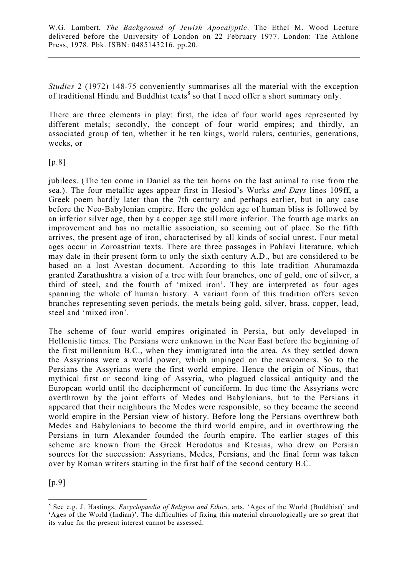*Studies* 2 (1972) 148-75 conveniently summarises all the material with the exception of traditional Hindu and Buddhist texts<sup>8</sup> so that I need offer a short summary only.

There are three elements in play: first, the idea of four world ages represented by different metals; secondly, the concept of four world empires; and thirdly, an associated group of ten, whether it be ten kings, world rulers, centuries, generations, weeks, or

 $[p.8]$ 

jubilees. (The ten come in Daniel as the ten horns on the last animal to rise from the sea.). The four metallic ages appear first in Hesiod's Works *and Days* lines 109ff, a Greek poem hardly later than the 7th century and perhaps earlier, but in any case before the Neo-Babylonian empire. Here the golden age of human bliss is followed by an inferior silver age, then by a copper age still more inferior. The fourth age marks an improvement and has no metallic association, so seeming out of place. So the fifth arrives, the present age of iron, characterised by all kinds of social unrest. Four metal ages occur in Zoroastrian texts. There are three passages in Pahlavi literature, which may date in their present form to only the sixth century A.D., but are considered to be based on a lost Avestan document. According to this late tradition Ahuramazda granted Zarathushtra a vision of a tree with four branches, one of gold, one of silver, a third of steel, and the fourth of 'mixed iron'. They are interpreted as four ages spanning the whole of human history. A variant form of this tradition offers seven branches representing seven periods, the metals being gold, silver, brass, copper, lead, steel and 'mixed iron'.

The scheme of four world empires originated in Persia, but only developed in Hellenistic times. The Persians were unknown in the Near East before the beginning of the first millennium B.C., when they immigrated into the area. As they settled down the Assyrians were a world power, which impinged on the newcomers. So to the Persians the Assyrians were the first world empire. Hence the origin of Ninus, that mythical first or second king of Assyria, who plagued classical antiquity and the European world until the decipherment of cuneiform. In due time the Assyrians were overthrown by the joint efforts of Medes and Babylonians, but to the Persians it appeared that their neighbours the Medes were responsible, so they became the second world empire in the Persian view of history. Before long the Persians overthrew both Medes and Babylonians to become the third world empire, and in overthrowing the Persians in turn Alexander founded the fourth empire. The earlier stages of this scheme are known from the Greek Herodotus and Ktesias, who drew on Persian sources for the succession: Assyrians, Medes, Persians, and the final form was taken over by Roman writers starting in the first half of the second century B.C.

 $[p.9]$ 

 8 See e.g. J. Hastings, *Encyclopaedia of Religion and Ethics,* arts. 'Ages of the World (Buddhist)' and 'Ages of the World (Indian)'. The difficulties of fixing this material chronologically are so great that its value for the present interest cannot be assessed.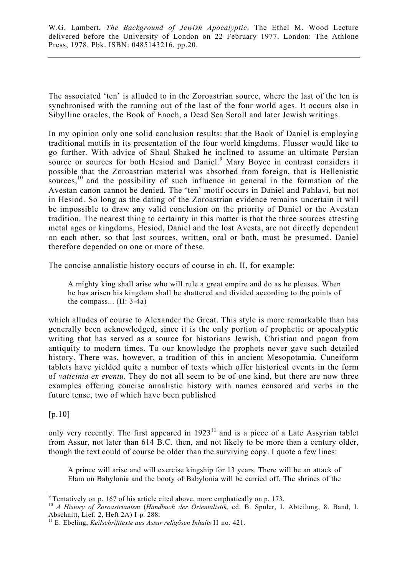The associated 'ten' is alluded to in the Zoroastrian source, where the last of the ten is synchronised with the running out of the last of the four world ages. It occurs also in Sibylline oracles, the Book of Enoch, a Dead Sea Scroll and later Jewish writings.

In my opinion only one solid conclusion results: that the Book of Daniel is employing traditional motifs in its presentation of the four world kingdoms. Flusser would like to go further. With advice of Shaul Shaked he inclined to assume an ultimate Persian source or sources for both Hesiod and Daniel.<sup>9</sup> Mary Boyce in contrast considers it possible that the Zoroastrian material was absorbed from foreign, that is Hellenistic sources,<sup>10</sup> and the possibility of such influence in general in the formation of the Avestan canon cannot be denied. The 'ten' motif occurs in Daniel and Pahlavi, but not in Hesiod. So long as the dating of the Zoroastrian evidence remains uncertain it will be impossible to draw any valid conclusion on the priority of Daniel or the Avestan tradition. The nearest thing to certainty in this matter is that the three sources attesting metal ages or kingdoms, Hesiod, Daniel and the lost Avesta, are not directly dependent on each other, so that lost sources, written, oral or both, must be presumed. Daniel therefore depended on one or more of these.

The concise annalistic history occurs of course in ch. II, for example:

A mighty king shall arise who will rule a great empire and do as he pleases. When he has arisen his kingdom shall be shattered and divided according to the points of the compass... (II: 3-4a)

which alludes of course to Alexander the Great. This style is more remarkable than has generally been acknowledged, since it is the only portion of prophetic or apocalyptic writing that has served as a source for historians Jewish, Christian and pagan from antiquity to modern times. To our knowledge the prophets never gave such detailed history. There was, however, a tradition of this in ancient Mesopotamia. Cuneiform tablets have yielded quite a number of texts which offer historical events in the form of *vaticinia ex eventu.* They do not all seem to be of one kind, but there are now three examples offering concise annalistic history with names censored and verbs in the future tense, two of which have been published

[p.10]

only very recently. The first appeared in 1923<sup>11</sup> and is a piece of a Late Assyrian tablet from Assur, not later than 614 B.C. then, and not likely to be more than a century older, though the text could of course be older than the surviving copy. I quote a few lines:

A prince will arise and will exercise kingship for 13 years. There will be an attack of Elam on Babylonia and the booty of Babylonia will be carried off. The shrines of the

 $\overline{a}$  $9^9$  Tentatively on p. 167 of his article cited above, more emphatically on p. 173.

<sup>10</sup> *A History of Zoroastrianism* (*Handbuch der Orientalistik,* ed. B. Spuler, I. Abteilung, 8. Band, I. Abschnitt, Lief. 2, Heft 2A) I p. 288.

<sup>11</sup> E. Ebeling, *Keilschrifttexte aus Assur religösen Inhalts* II no. 421.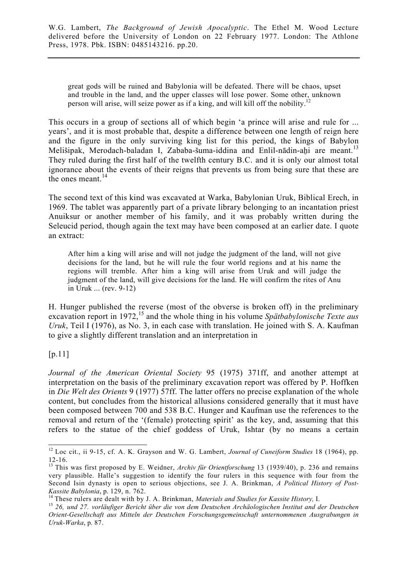great gods will be ruined and Babylonia will be defeated. There will be chaos, upset and trouble in the land, and the upper classes will lose power. Some other, unknown person will arise, will seize power as if a king, and will kill off the nobility.<sup>12</sup>

This occurs in a group of sections all of which begin 'a prince will arise and rule for ... years', and it is most probable that, despite a difference between one length of reign here and the figure in the only surviving king list for this period, the kings of Babylon Melišipak, Merodach-baladan I, Zababa-šuma-iddina and Enlil-nādin-ahi are meant.<sup>13</sup> They ruled during the first half of the twelfth century B.C. and it is only our almost total ignorance about the events of their reigns that prevents us from being sure that these are the ones meant.<sup>14</sup>

The second text of this kind was excavated at Warka, Babylonian Uruk, Biblical Erech, in 1969. The tablet was apparently part of a private library belonging to an incantation priest Anuiksur or another member of his family, and it was probably written during the Seleucid period, though again the text may have been composed at an earlier date. I quote an extract:

After him a king will arise and will not judge the judgment of the land, will not give decisions for the land, but he will rule the four world regions and at his name the regions will tremble. After him a king will arise from Uruk and will judge the judgment of the land, will give decisions for the land. He will confirm the rites of Anu in Uruk ... (rev. 9-12)

H. Hunger published the reverse (most of the obverse is broken off) in the preliminary excavation report in 1972,<sup>15</sup> and the whole thing in his volume *Spätbabylonische Texte aus Uruk*, Teil I (1976), as No. 3, in each case with translation. He joined with S. A. Kaufman to give a slightly different translation and an interpretation in

[p.11]

*Journal of the American Oriental Society* 95 (1975) 371ff, and another attempt at interpretation on the basis of the preliminary excavation report was offered by P. Hoffken in *Die Welt des Orients* 9 (1977) 57ff. The latter offers no precise explanation of the whole content, but concludes from the historical allusions considered generally that it must have been composed between 700 and 538 B.C. Hunger and Kaufman use the references to the removal and return of the '(female) protecting spirit' as the key, and, assuming that this refers to the statue of the chief goddess of Uruk, Ishtar (by no means a certain

 $\overline{a}$ 12 Loc cit., ii 9-15, cf. A. K. Grayson and W. G. Lambert, *Journal of Cuneiform Studies* 18 (1964), pp. 12-16.

<sup>13</sup> This was first proposed by E. Weidner, *Archiv für Orientforschung* 13 (1939/40), p. 236 and remains very plausible. Halle's suggestion to identify the four rulers in this sequence with four from the Second Isin dynasty is open to serious objections, see J. A. Brinkman, *A Political History of Post-*Kassite Babylonia, p. 129, n. 762.<br><sup>14</sup> These rulers are dealt with by J. A. Brinkman, *Materials and Studies for Kassite History*, I.<br><sup>15</sup> 26, und 27. vorläufiger Bericht über die von dem Deutschen Archäologischen Institu

*Orient-Gesellschaft aus Mitteln der Deutschen Forschungsgemeinschaft unternommenen Ausgrabungen in Uruk-Warka*, p. 87.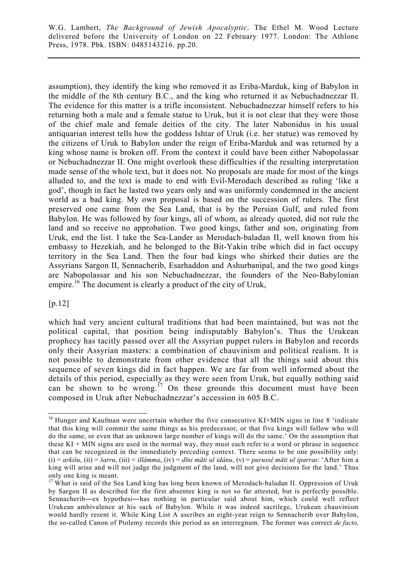assumption), they identify the king who removed it as Eriba-Marduk, king of Babylon in the middle of the 8th century B.C., and the king who returned it as Nebuchadnezzar II. The evidence for this matter is a trifle inconsistent. Nebuchadnezzar himself refers to his returning both a male and a female statue to Uruk, but it is not clear that they were those of the chief male and female deities of the city. The later Nabonidus in his usual antiquarian interest tells how the goddess Ishtar of Uruk (i.e. her statue) was removed by the citizens of Uruk to Babylon under the reign of Eriba-Marduk and was returned by a king whose name is broken off. From the context it could have been either Nabopolassar or Nebuchadnezzar II. One might overlook these difficulties if the resulting interpretation made sense of the whole text, but it does not. No proposals are made for most of the kings alluded to, and the text is made to end with Evil-Merodach described as ruling 'like a god', though in fact he lasted two years only and was uniformly condemned in the ancient world as a bad king. My own proposal is based on the succession of rulers. The first preserved one came from the Sea Land, that is by the Persian Gulf, and ruled from Babylon. He was followed by four kings, all of whom, as already quoted, did not rule the land and so receive no approbation. Two good kings, father and son, originating from Uruk, end the list. I take the Sea-Lander as Merodach-baladan II, well known from his embassy to Hezekiah, and he belonged to the Bit-Yakin tribe which did in fact occupy territory in the Sea Land. Then the four bad kings who shirked their duties are the Assyrians Sargon II, Sennacherib, Esarhaddon and Ashurbanipal, and the two good kings are Nabopolassar and his son Nebuchadnezzar, the founders of the Neo-Babylonian empire.<sup>16</sup> The document is clearly a product of the city of Uruk,

## [p.12]

 $\overline{a}$ 

which had very ancient cultural traditions that had been maintained, but was not the political capital, that position being indisputably Babylon's. Thus the Urukean prophecy has tacitly passed over all the Assyrian puppet rulers in Babylon and records only their Assyrian masters: a combination of chauvinism and political realism. It is not possible to demonstrate from other evidence that all the things said about this sequence of seven kings did in fact happen. We are far from well informed about the details of this period, especially as they were seen from Uruk, but equally nothing said can be shown to be wrong.<sup>17</sup> On these grounds this document must have been composed in Uruk after Nebuchadnezzar's accession in 605 B.C.

<sup>&</sup>lt;sup>16</sup> Hunger and Kaufman were uncertain whether the five consecutive KI+MIN signs in line 8 'indicate that this king will commit the same things as his predecessor, or that five kings will follow who will do the same, or even that an unknown large number of kings will do the same.' On the assumption that these KI + MIN signs are used in the normal way, they must each refer to a word or phrase in sequence that can be recognized in the immediately preceding context. There seems to be one possibility only: (i) = *arkišu*, (ii) = *šarru*, (iii) = *illâmma*, (iv) = *dīni māti ul idânu*, (v) = *purussê māti ul iparras*: 'After him a king will arise and will not judge the judgment of the land, will not give decisions for the land.' Thus only one king is meant.

<sup>&</sup>lt;sup>17</sup> What is said of the Sea Land king has long been known of Merodach-baladan II. Oppression of Uruk by Sargon II as described for the first absentee king is not so far attested, but is perfectly possible. Sennacherib―ex hypothesi―has nothing in particular said about him, which could well reflect Urukean ambivalence at his sack of Babylon. While it was indeed sacrilege, Urukean chauvinism would hardly resent it. While King List A ascribes an eight-year reign to Sennacherib over Babylon, the so-called Canon of Ptolemy records this period as an interregnum. The former was correct *de facto,*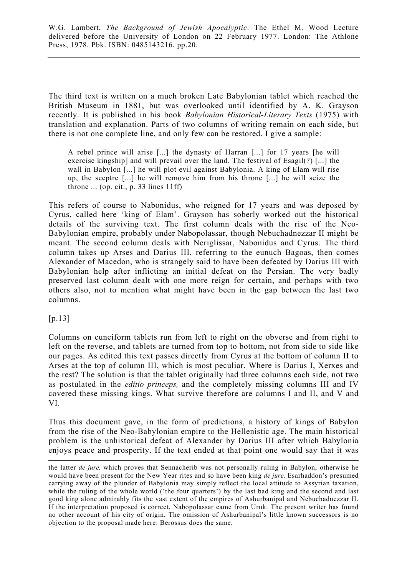The third text is written on a much broken Late Babylonian tablet which reached the British Museum in 1881, but was overlooked until identified by A. K. Grayson recently. It is published in his book *Babylonian Historical-Literary Texts* (1975) with translation and explanation. Parts of two columns of writing remain on each side, but there is not one complete line, and only few can be restored. I give a sample:

A rebel prince will arise [...] the dynasty of Harran [...] for 17 years [he will exercise kingship] and will prevail over the land. The festival of Esagil(?) [...] the wall in Babylon [...] he will plot evil against Babylonia. A king of Elam will rise up, the sceptre [...] he will remove him from his throne [...] he will seize the throne  $\dots$  (op. cit., p. 33 lines 11ff)

This refers of course to Nabonidus, who reigned for 17 years and was deposed by Cyrus, called here 'king of Elam'. Grayson has soberly worked out the historical details of the surviving text. The first column deals with the rise of the Neo-Babylonian empire, probably under Nabopolassar, though Nebuchadnezzar II might be meant. The second column deals with Neriglissar, Nabonidus and Cyrus. The third column takes up Arses and Darius III, referring to the eunuch Bagoas, then comes Alexander of Macedon, who is strangely said to have been defeated by Darius III with Babylonian help after inflicting an initial defeat on the Persian. The very badly preserved last column dealt with one more reign for certain, and perhaps with two others also, not to mention what might have been in the gap between the last two columns.

 $[p.13]$ 

 $\overline{a}$ 

Columns on cuneiform tablets run from left to right on the obverse and from right to left on the reverse, and tablets are turned from top to bottom, not from side to side like our pages. As edited this text passes directly from Cyrus at the bottom of column II to Arses at the top of column III, which is most peculiar. Where is Darius I, Xerxes and the rest? The solution is that the tablet originally had three columns each side, not two as postulated in the *editio princeps,* and the completely missing columns III and IV covered these missing kings. What survive therefore are columns I and II, and V and VI.

Thus this document gave, in the form of predictions, a history of kings of Babylon from the rise of the Neo-Babylonian empire to the Hellenistic age. The main historical problem is the unhistorical defeat of Alexander by Darius III after which Babylonia enjoys peace and prosperity. If the text ended at that point one would say that it was

the latter *de jure,* which proves that Sennacherib was not personally ruling in Babylon, otherwise he would have been present for the New Year rites and so have been king *de jure.* Esarhaddon's presumed carrying away of the plunder of Babylonia may simply reflect the local attitude to Assyrian taxation, while the ruling of the whole world ('the four quarters') by the last bad king and the second and last good king alone admirably fits the vast extent of the empires of Ashurbanipal and Nebuchadnezzar II. If the interpretation proposed is correct, Nabopolassar came from Uruk. The present writer has found no other account of his city of origin. The omission of Ashurbanipal's little known successors is no objection to the proposal made here: Berossus does the same.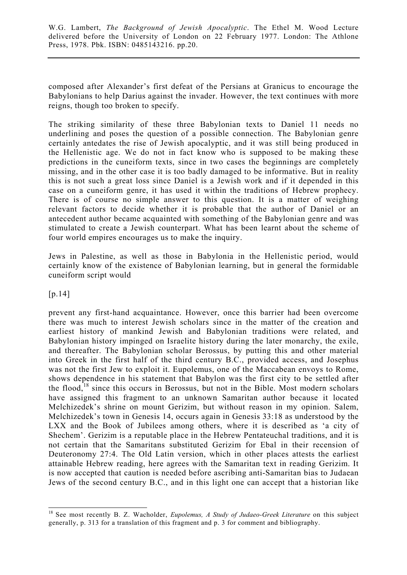composed after Alexander's first defeat of the Persians at Granicus to encourage the Babylonians to help Darius against the invader. However, the text continues with more reigns, though too broken to specify.

The striking similarity of these three Babylonian texts to Daniel 11 needs no underlining and poses the question of a possible connection. The Babylonian genre certainly antedates the rise of Jewish apocalyptic, and it was still being produced in the Hellenistic age. We do not in fact know who is supposed to be making these predictions in the cuneiform texts, since in two cases the beginnings are completely missing, and in the other case it is too badly damaged to be informative. But in reality this is not such a great loss since Daniel is a Jewish work and if it depended in this case on a cuneiform genre, it has used it within the traditions of Hebrew prophecy. There is of course no simple answer to this question. It is a matter of weighing relevant factors to decide whether it is probable that the author of Daniel or an antecedent author became acquainted with something of the Babylonian genre and was stimulated to create a Jewish counterpart. What has been learnt about the scheme of four world empires encourages us to make the inquiry.

Jews in Palestine, as well as those in Babylonia in the Hellenistic period, would certainly know of the existence of Babylonian learning, but in general the formidable cuneiform script would

[p.14]

l

prevent any first-hand acquaintance. However, once this barrier had been overcome there was much to interest Jewish scholars since in the matter of the creation and earliest history of mankind Jewish and Babylonian traditions were related, and Babylonian history impinged on Israelite history during the later monarchy, the exile, and thereafter. The Babylonian scholar Berossus, by putting this and other material into Greek in the first half of the third century B.C., provided access, and Josephus was not the first Jew to exploit it. Eupolemus, one of the Maccabean envoys to Rome, shows dependence in his statement that Babylon was the first city to be settled after the flood, $18$  since this occurs in Berossus, but not in the Bible. Most modern scholars have assigned this fragment to an unknown Samaritan author because it located Melchizedek's shrine on mount Gerizim, but without reason in my opinion. Salem, Melchizedek's town in Genesis 14, occurs again in Genesis 33:18 as understood by the LXX and the Book of Jubilees among others, where it is described as 'a city of Shechem'. Gerizim is a reputable place in the Hebrew Pentateuchal traditions, and it is not certain that the Samaritans substituted Gerizim for Ebal in their recension of Deuteronomy 27:4. The Old Latin version, which in other places attests the earliest attainable Hebrew reading, here agrees with the Samaritan text in reading Gerizim. It is now accepted that caution is needed before ascribing anti-Samaritan bias to Judaean Jews of the second century B.C., and in this light one can accept that a historian like

<sup>18</sup> See most recently B. Z. Wacholder, *Eupolemus, A Study of Judaeo-Greek Literature* on this subject generally, p. 313 for a translation of this fragment and p. 3 for comment and bibliography.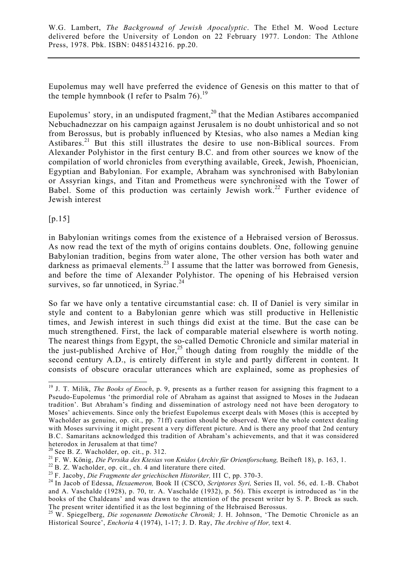Eupolemus may well have preferred the evidence of Genesis on this matter to that of the temple hymnbook (I refer to Psalm  $76$ ).<sup>19</sup>

Eupolemus' story, in an undisputed fragment, $^{20}$  that the Median Astibares accompanied Nebuchadnezzar on his campaign against Jerusalem is no doubt unhistorical and so not from Berossus, but is probably influenced by Ktesias, who also names a Median king Astibares.<sup>21</sup> But this still illustrates the desire to use non-Biblical sources. From Alexander Polyhistor in the first century B.C. and from other sources we know of the compilation of world chronicles from everything available, Greek, Jewish, Phoenician, Egyptian and Babylonian. For example, Abraham was synchronised with Babylonian or Assyrian kings, and Titan and Prometheus were synchronised with the Tower of Babel. Some of this production was certainly Jewish work.<sup>22</sup> Further evidence of Jewish interest

 $[p.15]$ 

in Babylonian writings comes from the existence of a Hebraised version of Berossus. As now read the text of the myth of origins contains doublets. One, following genuine Babylonian tradition, begins from water alone, The other version has both water and darkness as primaeval elements.<sup>23</sup> I assume that the latter was borrowed from Genesis, and before the time of Alexander Polyhistor. The opening of his Hebraised version survives, so far unnoticed, in Syriac. $24$ 

So far we have only a tentative circumstantial case: ch. II of Daniel is very similar in style and content to a Babylonian genre which was still productive in Hellenistic times, and Jewish interest in such things did exist at the time. But the case can be much strengthened. First, the lack of comparable material elsewhere is worth noting. The nearest things from Egypt, the so-called Demotic Chronicle and similar material in the just-published Archive of Hor,<sup>25</sup> though dating from roughly the middle of the second century A.D., is entirely different in style and partly different in content. It consists of obscure oracular utterances which are explained, some as prophesies of

 $\overline{a}$ 19 J. T. Milik, *The Books of Enoch*, p. 9, presents as a further reason for assigning this fragment to a Pseudo-Eupolemus 'the primordial role of Abraham as against that assigned to Moses in the Judaean tradition'. But Abraham's finding and dissemination of astrology need not have been derogatory to Moses' achievements. Since only the briefest Eupolemus excerpt deals with Moses (this is accepted by Wacholder as genuine, op. cit., pp. 71ff) caution should be observed. Were the whole context dealing with Moses surviving it might present a very different picture. And is there any proof that 2nd century B.C. Samaritans acknowledged this tradition of Abraham's achievements, and that it was considered heterodox in Jerusalem at that time?

 $20$  See B. Z. Wacholder, op. cit., p. 312.

<sup>&</sup>lt;sup>21</sup> F. W. König, *Die Persika des Ktesias von Knidos (Archiv für Orientforschung, Beiheft 18), p. 163, 1.<br><sup>22</sup> B. Z. Wacholder, op. cit., ch. 4 and literature there cited.<br><sup>23</sup> F. Jacoby. <i>Die Fragmente der griechischen H* 

<sup>&</sup>lt;sup>24</sup> In Jacob of Edessa, *Hexaemeron*, Book II (CSCO, *Scriptores Syri*, Series II, vol. 56, ed. I.-B. Chabot and A. Vaschalde (1928), p. 70, tr. A. Vaschalde (1932), p. 56). This excerpt is introduced as 'in the books of the Chaldeans' and was drawn to the attention of the present writer by S. P. Brock as such. The present writer identified it as the lost beginning of the Hebraised Berossus.

<sup>25</sup> W. Spiegelberg, *Die sogenannte Demotische Chronik;* J. H. Johnson, 'The Demotic Chronicle as an Historical Source', *Enchoria* 4 (1974), 1-17; J. D. Ray, *The Archive of Hor,* text 4.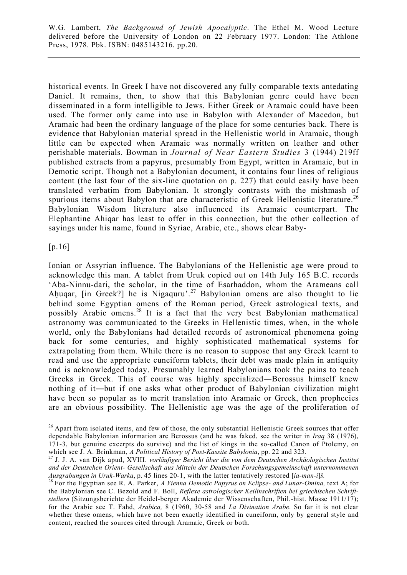historical events. In Greek I have not discovered any fully comparable texts antedating Daniel. It remains, then, to show that this Babylonian genre could have been disseminated in a form intelligible to Jews. Either Greek or Aramaic could have been used. The former only came into use in Babylon with Alexander of Macedon, but Aramaic had been the ordinary language of the place for some centuries back. There is evidence that Babylonian material spread in the Hellenistic world in Aramaic, though little can be expected when Aramaic was normally written on leather and other perishable materials. Bowman in *Journal of Near Eastern Studies* 3 (1944) 219ff published extracts from a papyrus, presumably from Egypt, written in Aramaic, but in Demotic script. Though not a Babylonian document, it contains four lines of religious content (the last four of the six-line quotation on p. 227) that could easily have been translated verbatim from Babylonian. It strongly contrasts with the mishmash of spurious items about Babylon that are characteristic of Greek Hellenistic literature.<sup>26</sup> Babylonian Wisdom literature also influenced its Aramaic counterpart. The Elephantine Ahiqar has least to offer in this connection, but the other collection of sayings under his name, found in Syriac, Arabic, etc., shows clear Baby-

[p.16]

 $\overline{a}$ 

Ionian or Assyrian influence. The Babylonians of the Hellenistic age were proud to acknowledge this man. A tablet from Uruk copied out on 14th July 165 B.C. records 'Aba-Ninnu-dari, the scholar, in the time of Esarhaddon, whom the Arameans call Ahuqar, [in Greek?] he is Nigaquru<sup>'.27</sup> Babylonian omens are also thought to lie behind some Egyptian omens of the Roman period, Greek astrological texts, and possibly Arabic omens.<sup>28</sup> It is a fact that the very best Babylonian mathematical astronomy was communicated to the Greeks in Hellenistic times, when, in the whole world, only the Babylonians had detailed records of astronomical phenomena going back for some centuries, and highly sophisticated mathematical systems for extrapolating from them. While there is no reason to suppose that any Greek learnt to read and use the appropriate cuneiform tablets, their debt was made plain in antiquity and is acknowledged today. Presumably learned Babylonians took the pains to teach Greeks in Greek. This of course was highly specialized―Berossus himself knew nothing of it―but if one asks what other product of Babylonian civilization might have been so popular as to merit translation into Aramaic or Greek, then prophecies are an obvious possibility. The Hellenistic age was the age of the proliferation of

<sup>&</sup>lt;sup>26</sup> Apart from isolated items, and few of those, the only substantial Hellenistic Greek sources that offer dependable Babylonian information are Berossus (and he was faked, see the writer in *Iraq* 38 (1976), 171-3, but genuine excerpts do survive) and the list of kings in the so-called Canon of Ptolemy, on which see J. A. Brinkman, A Political History of Post-Kassite Babylonia, pp. 22 and 323.

<sup>&</sup>lt;sup>27</sup> J. J. A. van Dijk apud, *XVIII. vorläufiger Bericht über die von dem Deutschen Archäologischen Institut and der Deutschen Orient- Gesellschaft aus Mitteln der Deutschen Forschungsgemeinschaft unternommenen*

Ausgrabungen in Uruk-Warka, p. 45 lines 20-1, with the latter tentatively restored  $[ia-man-i]$ š.<br><sup>28</sup> For the Egyptian see R. A. Parker, A Vienna Demotic Papyrus on Eclipse- and Lunar-Omina, text A; for the Babylonian see C. Bezold and F. Boll, *Reflexe astrologischer Keilinschriften bei griechischen Schriftstellern* (Sitzungsberichte der Heidel-berger Akademie der Wissenschaften, Phil.-hist. Masse 1911/17); for the Arabic see T. Fahd, *Arabica,* 8 (1960, 30-58 and *La Divination Arabe*. So far it is not clear whether these omens, which have not been exactly identified in cuneiform, only by general style and content, reached the sources cited through Aramaic, Greek or both.